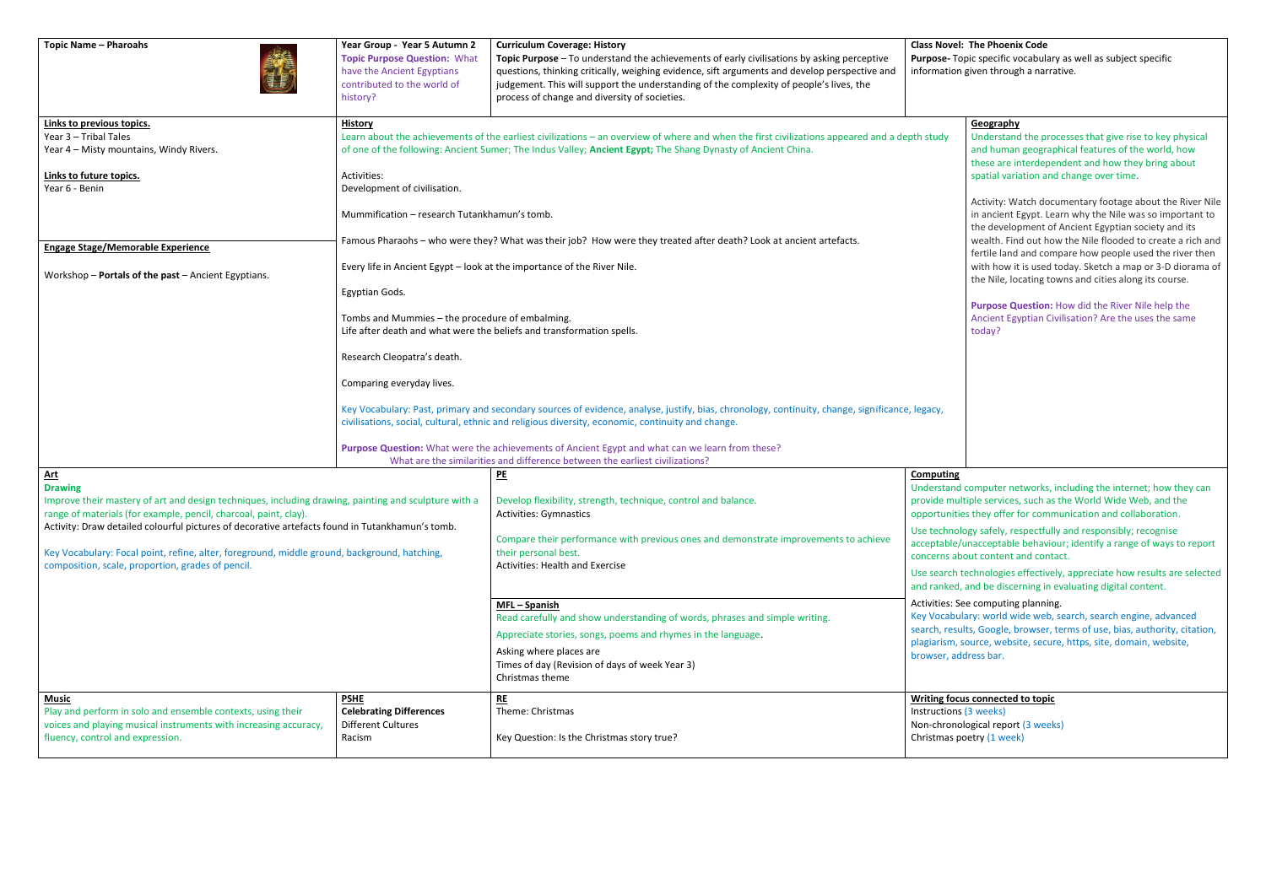#### **Class Novel: The Phoenix Code**  Topic specific vocabulary as well as subject specific on given through a narrative.

### **Geography**

Understand the processes that give rise to key physical and human geographical features of the world, how these are interdependent and how they bring about spatial variation and change over time.

Activity: Watch documentary footage about the River Nile in ancient Egypt. Learn why the Nile was so important to the development of Ancient Egyptian society and its wealth. Find out how the Nile flooded to create a rich and fertile land and compare how people used the river then with how it is used today. Sketch a map or 3-D diorama of the Nile, locating towns and cities along its course.

| <b>Topic Name - Pharoahs</b>                                                                                                                                                                                                                                                                                                                                                                                                                                     | Year Group - Year 5 Autumn 2<br><b>Topic Purpose Question: What</b><br>have the Ancient Egyptians<br>contributed to the world of<br>history?                                                                                                                                                                                                                                                                                                                                                                                                                                                                                                                                                                                                                                                                                                                                                                                                     | <b>Curriculum Coverage: History</b><br>Topic Purpose - To understand the achievements of early civilisations by asking perceptive<br>questions, thinking critically, weighing evidence, sift arguments and develop perspective and<br>judgement. This will support the understanding of the complexity of people's lives, the<br>process of change and diversity of societies.                                                                                                                                         | <b>Class Nove</b><br>Purpose-<br>informatio                                                                                                                                                       |  |
|------------------------------------------------------------------------------------------------------------------------------------------------------------------------------------------------------------------------------------------------------------------------------------------------------------------------------------------------------------------------------------------------------------------------------------------------------------------|--------------------------------------------------------------------------------------------------------------------------------------------------------------------------------------------------------------------------------------------------------------------------------------------------------------------------------------------------------------------------------------------------------------------------------------------------------------------------------------------------------------------------------------------------------------------------------------------------------------------------------------------------------------------------------------------------------------------------------------------------------------------------------------------------------------------------------------------------------------------------------------------------------------------------------------------------|------------------------------------------------------------------------------------------------------------------------------------------------------------------------------------------------------------------------------------------------------------------------------------------------------------------------------------------------------------------------------------------------------------------------------------------------------------------------------------------------------------------------|---------------------------------------------------------------------------------------------------------------------------------------------------------------------------------------------------|--|
| Links to previous topics.<br>Year 3 - Tribal Tales<br>Year 4 - Misty mountains, Windy Rivers.                                                                                                                                                                                                                                                                                                                                                                    | <b>History</b><br>Learn about the achievements of the earliest civilizations - an overview of where and when the first civilizations appeared and a depth study<br>of one of the following: Ancient Sumer; The Indus Valley; Ancient Egypt; The Shang Dynasty of Ancient China.                                                                                                                                                                                                                                                                                                                                                                                                                                                                                                                                                                                                                                                                  |                                                                                                                                                                                                                                                                                                                                                                                                                                                                                                                        |                                                                                                                                                                                                   |  |
| Links to future topics.<br>Year 6 - Benin<br><b>Engage Stage/Memorable Experience</b><br>Workshop - Portals of the past - Ancient Egyptians.                                                                                                                                                                                                                                                                                                                     | Activities:<br>Development of civilisation.<br>Mummification - research Tutankhamun's tomb.<br>Famous Pharaohs - who were they? What was their job? How were they treated after death? Look at ancient artefacts.<br>Every life in Ancient Egypt - look at the importance of the River Nile.<br>Egyptian Gods.<br>Tombs and Mummies - the procedure of embalming.<br>Life after death and what were the beliefs and transformation spells.<br>Research Cleopatra's death.<br>Comparing everyday lives.<br>Key Vocabulary: Past, primary and secondary sources of evidence, analyse, justify, bias, chronology, continuity, change, significance, legacy,<br>civilisations, social, cultural, ethnic and religious diversity, economic, continuity and change.<br>Purpose Question: What were the achievements of Ancient Egypt and what can we learn from these?<br>What are the similarities and difference between the earliest civilizations? |                                                                                                                                                                                                                                                                                                                                                                                                                                                                                                                        |                                                                                                                                                                                                   |  |
| <u>Art</u><br><b>Drawing</b><br>Improve their mastery of art and design techniques, including drawing, painting and sculpture with a<br>range of materials (for example, pencil, charcoal, paint, clay).<br>Activity: Draw detailed colourful pictures of decorative artefacts found in Tutankhamun's tomb.<br>Key Vocabulary: Focal point, refine, alter, foreground, middle ground, background, hatching,<br>composition, scale, proportion, grades of pencil. |                                                                                                                                                                                                                                                                                                                                                                                                                                                                                                                                                                                                                                                                                                                                                                                                                                                                                                                                                  | PE<br>Develop flexibility, strength, technique, control and balance.<br><b>Activities: Gymnastics</b><br>Compare their performance with previous ones and demonstrate improvements to achieve<br>their personal best.<br>Activities: Health and Exercise<br>MFL-Spanish<br>Read carefully and show understanding of words, phrases and simple writing.<br>Appreciate stories, songs, poems and rhymes in the language.<br>Asking where places are<br>Times of day (Revision of days of week Year 3)<br>Christmas theme | Computin<br>Understan<br>provide m<br>opportuni<br>Use techn<br>acceptable<br>concerns a<br>Use search<br>and ranke<br>Activities:<br><b>Key Vocab</b><br>search, res<br>plagiarism<br>browser, a |  |
| <b>Music</b><br>Play and perform in solo and ensemble contexts, using their<br>voices and playing musical instruments with increasing accuracy,<br>fluency, control and expression.                                                                                                                                                                                                                                                                              | <b>PSHE</b><br><b>Celebrating Differences</b><br><b>Different Cultures</b><br>Racism                                                                                                                                                                                                                                                                                                                                                                                                                                                                                                                                                                                                                                                                                                                                                                                                                                                             | RE<br>Theme: Christmas<br>Key Question: Is the Christmas story true?                                                                                                                                                                                                                                                                                                                                                                                                                                                   | <b>Writing fo</b><br>Instruction<br>Non-chror<br>Christmas                                                                                                                                        |  |

**Purpose Question:** How did the River Nile help the Ancient Egyptian Civilisation? Are the uses the same today?

## **Computing**

nd computer networks, including the internet; how they can nultiple services, such as the World Wide Web, and the ities they offer for communication and collaboration.

ology safely, respectfully and responsibly; recognise e/unacceptable behaviour; identify a range of ways to report about content and contact.

th technologies effectively, appreciate how results are selected ed, and be discerning in evaluating digital content.

#### See computing planning.

bulary: world wide web, search, search engine, advanced sults, Google, browser, terms of use, bias, authority, citation, 1, source, website, secure, https, site, domain, website, address bar.

## **<u>Drus connected to topic</u>**

ns (3 weeks) nological report (3 weeks) s poetry (1 week)